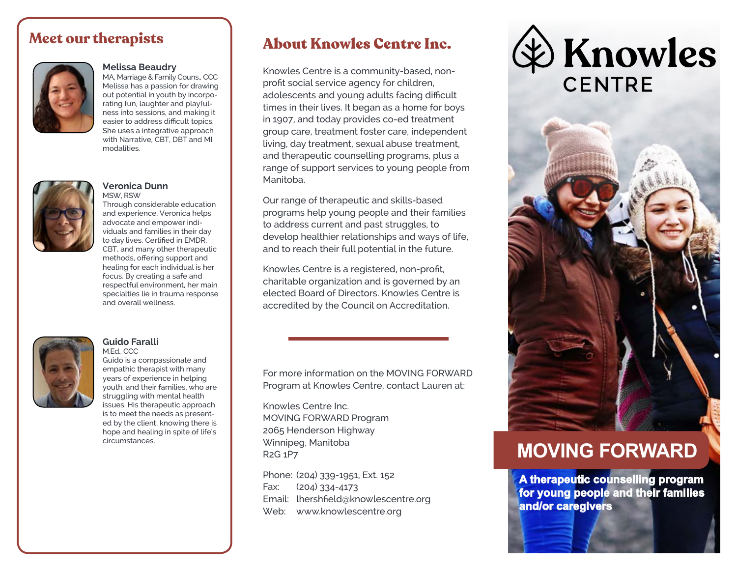### **Meet our therapists**



#### **Melissa Beaudry**

MA, Marriage & Family Couns., CCC Melissa has a passion for drawing out potential in youth by incorporating fun, laughter and playfulness into sessions, and making it easier to address difficult topics. She uses a integrative approach with Narrative, CBT, DBT and MI modalities.



#### **Veronica Dunn** MSW, RSW

Through considerable education and experience, Veronica helps advocate and empower individuals and families in their day to day lives. Certified in EMDR, CBT, and many other therapeutic methods, offering support and healing for each individual is her focus. By creating a safe and respectful environment, her main specialties lie in trauma response and overall wellness.



#### **Guido Faralli** M.Ed., CCC

Guido is a compassionate and empathic therapist with many years of experience in helping youth, and their families, who are struggling with mental health issues. His therapeutic approach is to meet the needs as presented by the client, knowing there is hope and healing in spite of life's circumstances.

## About Knowles Centre Inc.

Knowles Centre is a community-based, nonprofit social service agency for children, adolescents and young adults facing difficult times in their lives. It began as a home for boys in 1907, and today provides co-ed treatment group care, treatment foster care, independent living, day treatment, sexual abuse treatment, and therapeutic counselling programs, plus a range of support services to young people from Manitoba.

Our range of therapeutic and skills-based programs help young people and their families to address current and past struggles, to develop healthier relationships and ways of life, and to reach their full potential in the future.

Knowles Centre is a registered, non-profit, charitable organization and is governed by an elected Board of Directors. Knowles Centre is accredited by the Council on Accreditation.

For more information on the MOVING FORWARD Program at Knowles Centre, contact Lauren at:

Knowles Centre Inc. MOVING FORWARD Program 2065 Henderson Highway Winnipeg, Manitoba R2G 1P7

Phone: (204) 339-1951, Ext. 152 Fax: (204) 334-4173 Email: lhershfield@knowlescentre.org Web: www.knowlescentre.org

≵) Knowles **CENTRE** 



# **MOVING FORWARD**

**A therapeutic counselling program for young people and their families and/or caregivers**